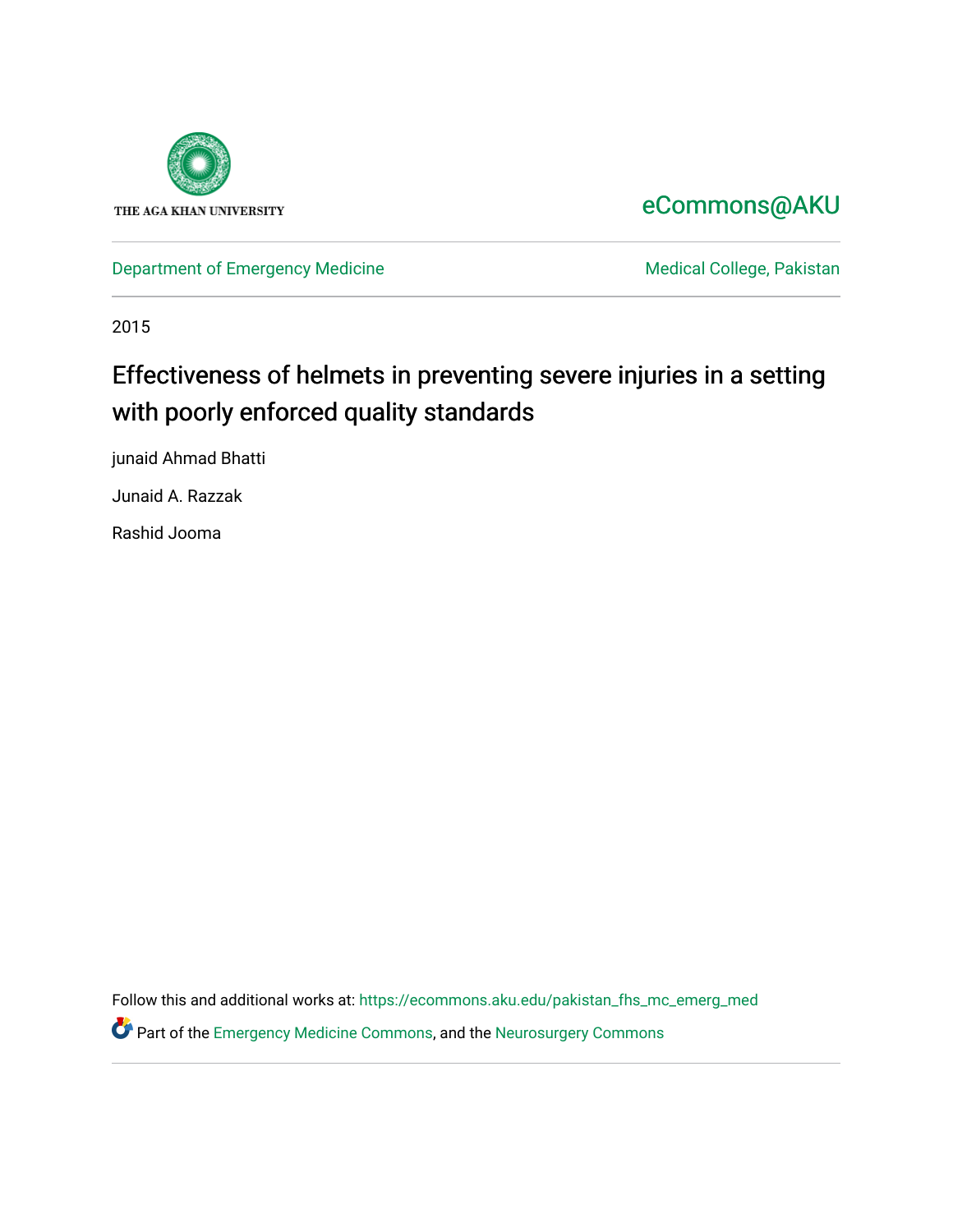

## [eCommons@AKU](https://ecommons.aku.edu/)

[Department of Emergency Medicine](https://ecommons.aku.edu/pakistan_fhs_mc_emerg_med) Medical College, Pakistan

2015

## Effectiveness of helmets in preventing severe injuries in a setting with poorly enforced quality standards

junaid Ahmad Bhatti

Junaid A. Razzak

Rashid Jooma

Follow this and additional works at: [https://ecommons.aku.edu/pakistan\\_fhs\\_mc\\_emerg\\_med](https://ecommons.aku.edu/pakistan_fhs_mc_emerg_med?utm_source=ecommons.aku.edu%2Fpakistan_fhs_mc_emerg_med%2F252&utm_medium=PDF&utm_campaign=PDFCoverPages)

**C** Part of the [Emergency Medicine Commons](http://network.bepress.com/hgg/discipline/685?utm_source=ecommons.aku.edu%2Fpakistan_fhs_mc_emerg_med%2F252&utm_medium=PDF&utm_campaign=PDFCoverPages), and the Neurosurgery Commons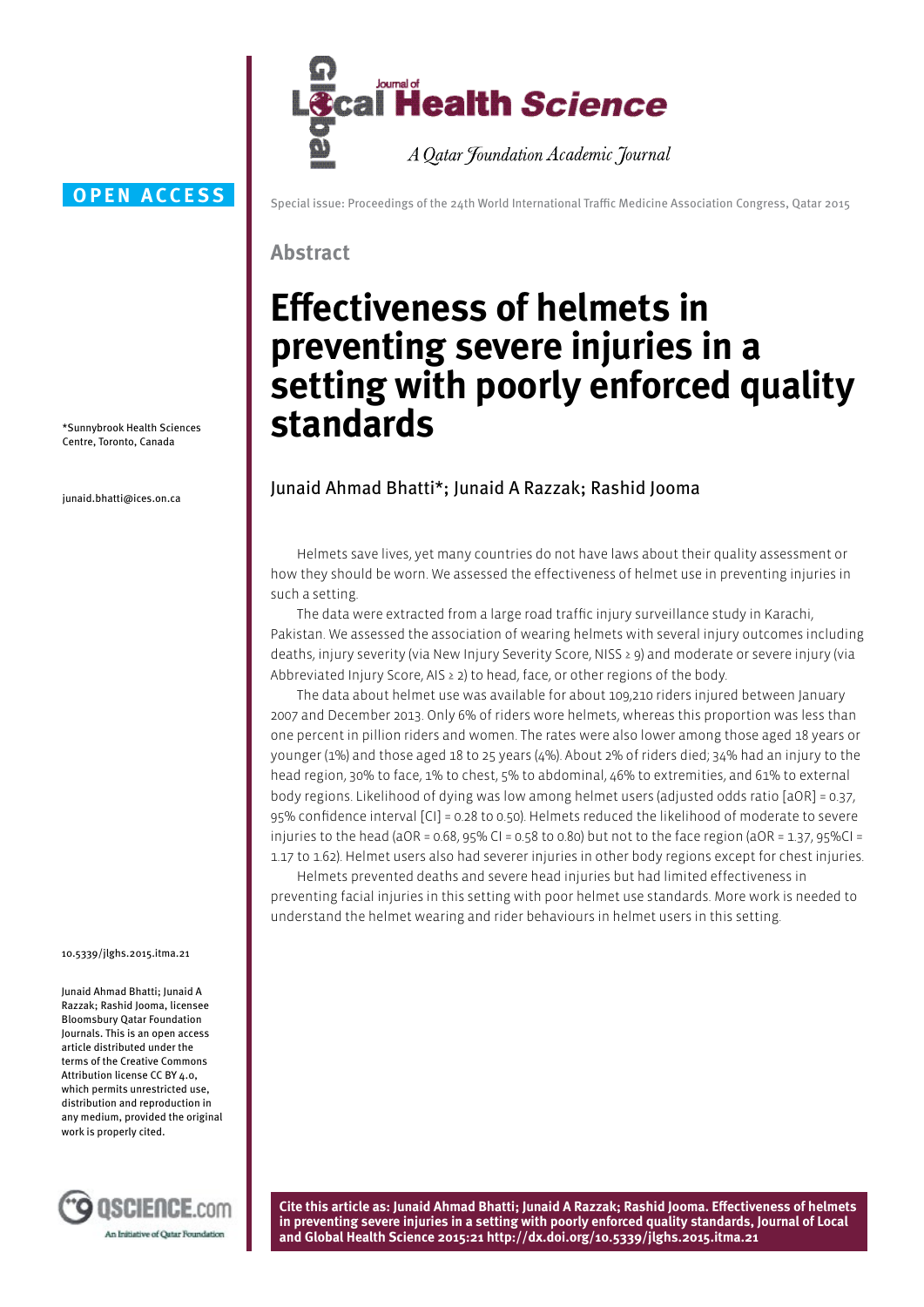

#### **OPEN ACCESS**

\*Sunnybrook Health Sciences Centre, Toronto, Canada

junaid.bhatti@ices.on.ca

Special issue: Proceedings of the 24th World International Traffic Medicine Association Congress, Qatar 2015

#### **Abstract**

# **Effectiveness of helmets in preventing severe injuries in a setting with poorly enforced quality standards**

### Junaid Ahmad Bhatti\*; Junaid A Razzak; Rashid Jooma

Helmets save lives, yet many countries do not have laws about their quality assessment or how they should be worn. We assessed the effectiveness of helmet use in preventing injuries in such a setting.

The data were extracted from a large road traffic injury surveillance study in Karachi, Pakistan. We assessed the association of wearing helmets with several injury outcomes including deaths, injury severity (via New Injury Severity Score, NISS ≥ 9) and moderate or severe injury (via Abbreviated Injury Score, AIS ≥ 2) to head, face, or other regions of the body.

The data about helmet use was available for about 109,210 riders injured between January 2007 and December 2013. Only 6% of riders wore helmets, whereas this proportion was less than one percent in pillion riders and women. The rates were also lower among those aged 18 years or younger (1%) and those aged 18 to 25 years (4%). About 2% of riders died; 34% had an injury to the head region, 30% to face, 1% to chest, 5% to abdominal, 46% to extremities, and 61% to external body regions. Likelihood of dying was low among helmet users (adjusted odds ratio [aOR] = 0.37, 95% confidence interval [CI] = 0.28 to 0.50). Helmets reduced the likelihood of moderate to severe injuries to the head (aOR = 0.68, 95% CI = 0.58 to 0.80) but not to the face region (aOR = 1.37, 95%CI = 1.17 to 1.62). Helmet users also had severer injuries in other body regions except for chest injuries.

Helmets prevented deaths and severe head injuries but had limited effectiveness in preventing facial injuries in this setting with poor helmet use standards. More work is needed to understand the helmet wearing and rider behaviours in helmet users in this setting.

10.5339/jlghs.2015.itma.21

Junaid Ahmad Bhatti; Junaid A Razzak; Rashid Jooma, licensee Bloomsbury Qatar Foundation Journals. This is an open access article distributed under the terms of the Creative Commons Attribution license CC BY 4.0, which permits unrestricted use, distribution and reproduction in any medium, provided the original work is properly cited.



**Cite this article as: Junaid Ahmad Bhatti; Junaid A Razzak; Rashid Jooma. Effectiveness of helmets in preventing severe injuries in a setting with poorly enforced quality standards, Journal of Local and Global Health Science 2015:21 http://dx.doi.org/10.5339/jlghs.2015.itma.21**